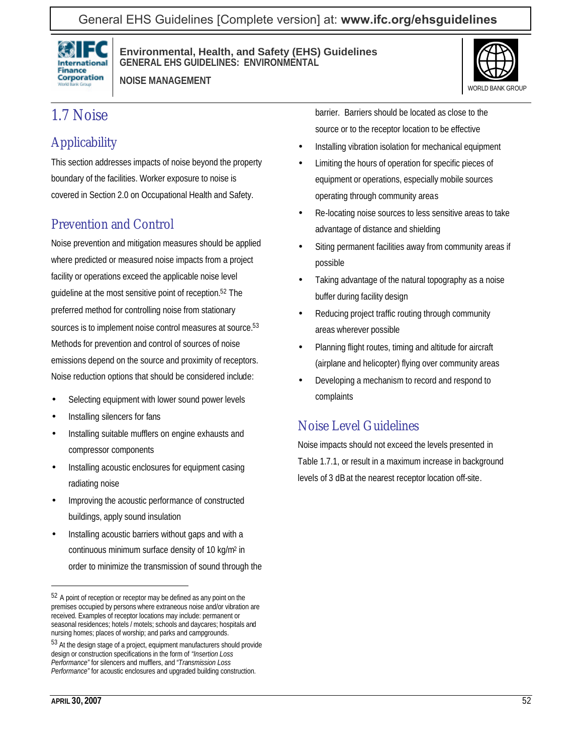### General EHS Guidelines [Complete version] at: **[www.ifc.org/ehsguidelines](http://www.ifc.org/ehsguidelines)**



**Environmental, Health, and Safety (EHS) Guidelines GENERAL EHS GUIDELINES: ENVIRONMENTAL**

**NOISE MANAGEMENT**



## 1.7 Noise

# **Applicability**

This section addresses impacts of noise beyond the property boundary of the facilities. Worker exposure to noise is covered in Section 2.0 on Occupational Health and Safety.

## Prevention and Control

Noise prevention and mitigation measures should be applied where predicted or measured noise impacts from a project facility or operations exceed the applicable noise level guideline at the most sensitive point of reception.52 The preferred method for controlling noise from stationary sources is to implement noise control measures at source.<sup>53</sup> Methods for prevention and control of sources of noise emissions depend on the source and proximity of receptors. Noise reduction options that should be considered include:

- Selecting equipment with lower sound power levels
- Installing silencers for fans
- Installing suitable mufflers on engine exhausts and compressor components
- Installing acoustic enclosures for equipment casing radiating noise
- Improving the acoustic performance of constructed buildings, apply sound insulation
- Installing acoustic barriers without gaps and with a continuous minimum surface density of 10 kg/m<sup>2</sup> in order to minimize the transmission of sound through the

barrier. Barriers should be located as close to the source or to the receptor location to be effective

- Installing vibration isolation for mechanical equipment
- Limiting the hours of operation for specific pieces of equipment or operations, especially mobile sources operating through community areas
- Re-locating noise sources to less sensitive areas to take advantage of distance and shielding
- Siting permanent facilities away from community areas if possible
- Taking advantage of the natural topography as a noise buffer during facility design
- Reducing project traffic routing through community areas wherever possible
- Planning flight routes, timing and altitude for aircraft (airplane and helicopter) flying over community areas
- Developing a mechanism to record and respond to complaints

#### Noise Level Guidelines

Noise impacts should not exceed the levels presented in Table 1.7.1, or result in a maximum increase in background levels of 3 dBat the nearest receptor location off-site.

<sup>52</sup> A point of reception or receptor may be defined as any point on the premises occupied by persons where extraneous noise and/or vibration are received. Examples of receptor locations may include: permanent or seasonal residences; hotels / motels; schools and daycares; hospitals and nursing homes; places of worship; and parks and campgrounds.

<sup>53</sup> At the design stage of a project, equipment manufacturers should provide design or construction specifications in the form of *"Insertion Loss Performance"* for silencers and mufflers, and *"Transmission Loss Performance"* for acoustic enclosures and upgraded building construction.